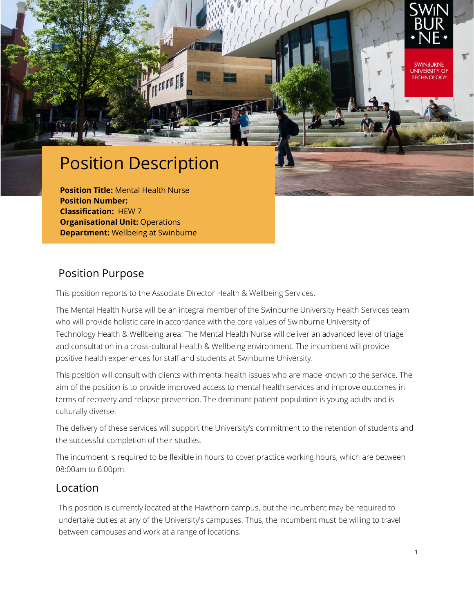

**UNIVERSITY OF TECHNOLOGY** 

# Position Description

**Position Title:** Mental Health Nurse **Position Number: Classification:** HEW 7 **Organisational Unit: Operations Department:** Wellbeing at Swinburne

#### Position Purpose

This position reports to the Associate Director Health & Wellbeing Services.

The Mental Health Nurse will be an integral member of the Swinburne University Health Services team who will provide holistic care in accordance with the core values of Swinburne University of Technology Health & Wellbeing area. The Mental Health Nurse will deliver an advanced level of triage and consultation in a cross-cultural Health & Wellbeing environment. The incumbent will provide positive health experiences for staff and students at Swinburne University.

This position will consult with clients with mental health issues who are made known to the service. The aim of the position is to provide improved access to mental health services and improve outcomes in terms of recovery and relapse prevention. The dominant patient population is young adults and is culturally diverse.

The delivery of these services will support the University's commitment to the retention of students and the successful completion of their studies.

The incumbent is required to be flexible in hours to cover practice working hours, which are between 08:00am to 6:00pm.

#### Location

This position is currently located at the Hawthorn campus, but the incumbent may be required to undertake duties at any of the University's campuses. Thus, the incumbent must be willing to travel between campuses and work at a range of locations.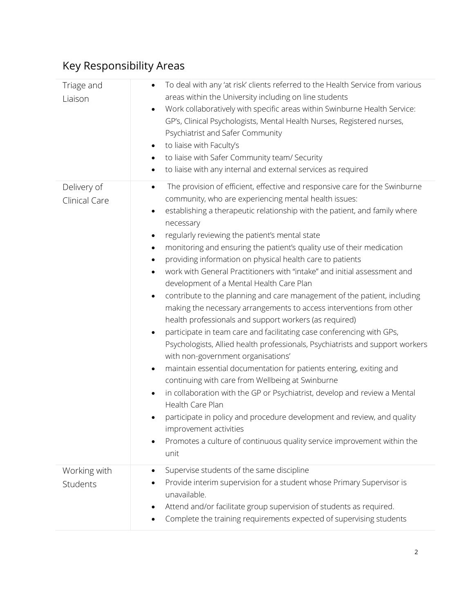| Triage and<br>Liaison        | To deal with any 'at risk' clients referred to the Health Service from various<br>areas within the University including on line students<br>Work collaboratively with specific areas within Swinburne Health Service:<br>$\bullet$<br>GP's, Clinical Psychologists, Mental Health Nurses, Registered nurses,<br>Psychiatrist and Safer Community<br>to liaise with Faculty's<br>$\bullet$<br>to liaise with Safer Community team/ Security<br>$\bullet$<br>to liaise with any internal and external services as required<br>$\bullet$                                                                                                                                                                                                                                                                                                                                                                                                                                                                                                                                                                                                                                                                                                                                                                                                                                                                                                                     |
|------------------------------|-----------------------------------------------------------------------------------------------------------------------------------------------------------------------------------------------------------------------------------------------------------------------------------------------------------------------------------------------------------------------------------------------------------------------------------------------------------------------------------------------------------------------------------------------------------------------------------------------------------------------------------------------------------------------------------------------------------------------------------------------------------------------------------------------------------------------------------------------------------------------------------------------------------------------------------------------------------------------------------------------------------------------------------------------------------------------------------------------------------------------------------------------------------------------------------------------------------------------------------------------------------------------------------------------------------------------------------------------------------------------------------------------------------------------------------------------------------|
| Delivery of<br>Clinical Care | The provision of efficient, effective and responsive care for the Swinburne<br>٠<br>community, who are experiencing mental health issues:<br>establishing a therapeutic relationship with the patient, and family where<br>٠<br>necessary<br>regularly reviewing the patient's mental state<br>٠<br>monitoring and ensuring the patient's quality use of their medication<br>$\bullet$<br>providing information on physical health care to patients<br>work with General Practitioners with "intake" and initial assessment and<br>$\bullet$<br>development of a Mental Health Care Plan<br>contribute to the planning and care management of the patient, including<br>$\bullet$<br>making the necessary arrangements to access interventions from other<br>health professionals and support workers (as required)<br>participate in team care and facilitating case conferencing with GPs,<br>$\bullet$<br>Psychologists, Allied health professionals, Psychiatrists and support workers<br>with non-government organisations'<br>maintain essential documentation for patients entering, exiting and<br>٠<br>continuing with care from Wellbeing at Swinburne<br>in collaboration with the GP or Psychiatrist, develop and review a Mental<br>Health Care Plan<br>participate in policy and procedure development and review, and quality<br>improvement activities<br>Promotes a culture of continuous quality service improvement within the<br>unit |
| Working with<br>Students     | Supervise students of the same discipline<br>٠<br>Provide interim supervision for a student whose Primary Supervisor is<br>unavailable.<br>Attend and/or facilitate group supervision of students as required.<br>Complete the training requirements expected of supervising students                                                                                                                                                                                                                                                                                                                                                                                                                                                                                                                                                                                                                                                                                                                                                                                                                                                                                                                                                                                                                                                                                                                                                                     |

## Key Responsibility Areas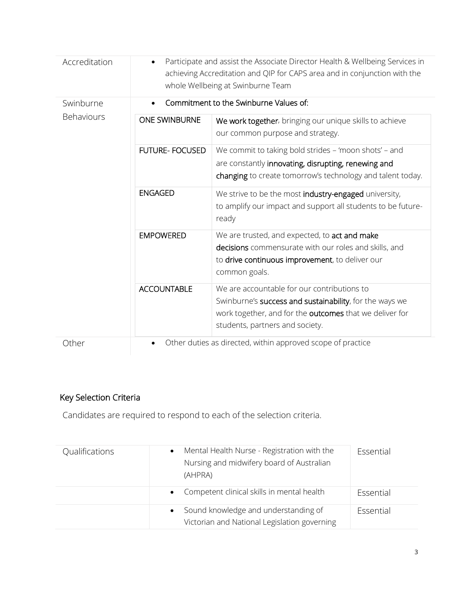| Accreditation           | Participate and assist the Associate Director Health & Wellbeing Services in<br>$\bullet$<br>achieving Accreditation and QIP for CAPS area and in conjunction with the<br>whole Wellbeing at Swinburne Team |                                                                                                                                                                                                      |  |  |
|-------------------------|-------------------------------------------------------------------------------------------------------------------------------------------------------------------------------------------------------------|------------------------------------------------------------------------------------------------------------------------------------------------------------------------------------------------------|--|--|
| Swinburne<br>Behaviours | Commitment to the Swinburne Values of:                                                                                                                                                                      |                                                                                                                                                                                                      |  |  |
|                         | <b>ONE SWINBURNE</b>                                                                                                                                                                                        | We work together, bringing our unique skills to achieve<br>our common purpose and strategy.                                                                                                          |  |  |
|                         | <b>FUTURE- FOCUSED</b>                                                                                                                                                                                      | We commit to taking bold strides - 'moon shots' - and<br>are constantly innovating, disrupting, renewing and<br>changing to create tomorrow's technology and talent today.                           |  |  |
|                         | <b>ENGAGED</b>                                                                                                                                                                                              | We strive to be the most industry-engaged university,<br>to amplify our impact and support all students to be future-<br>ready                                                                       |  |  |
|                         | <b>EMPOWERED</b>                                                                                                                                                                                            | We are trusted, and expected, to act and make<br>decisions commensurate with our roles and skills, and<br>to drive continuous improvement, to deliver our<br>common goals.                           |  |  |
|                         | <b>ACCOUNTABLE</b>                                                                                                                                                                                          | We are accountable for our contributions to<br>Swinburne's success and sustainability, for the ways we<br>work together, and for the outcomes that we deliver for<br>students, partners and society. |  |  |
| Other                   | Other duties as directed, within approved scope of practice                                                                                                                                                 |                                                                                                                                                                                                      |  |  |

### Key Selection Criteria

Candidates are required to respond to each of the selection criteria.

| Qualifications | Mental Health Nurse - Registration with the<br>$\bullet$<br>Nursing and midwifery board of Australian<br>(AHPRA) | Essential |
|----------------|------------------------------------------------------------------------------------------------------------------|-----------|
|                | • Competent clinical skills in mental health                                                                     | Essential |
|                | Sound knowledge and understanding of<br>$\bullet$<br>Victorian and National Legislation governing                | Essential |